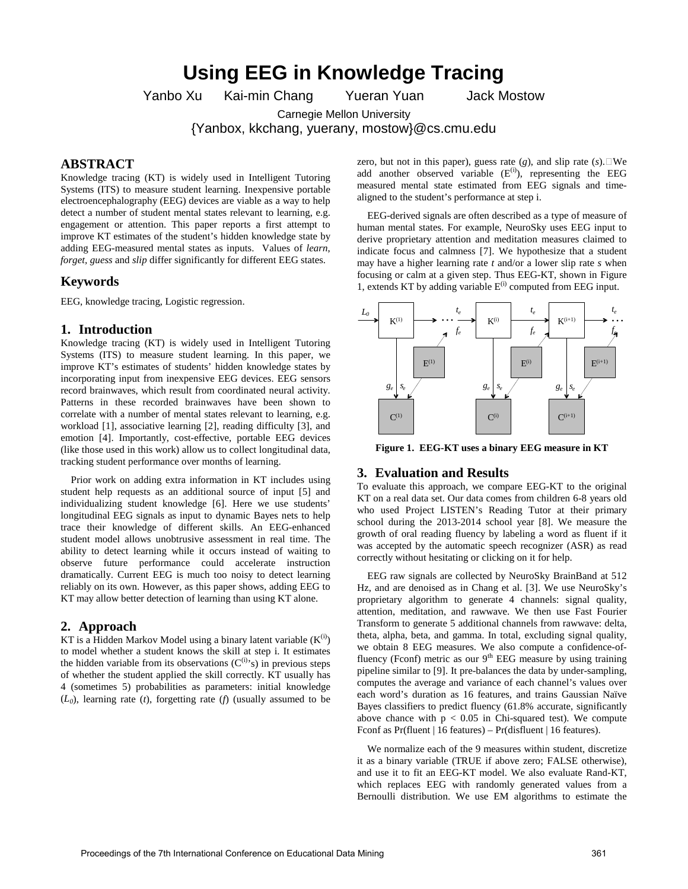# **Using EEG in Knowledge Tracing**

Yanbo Xu Kai-min Chang Yueran Yuan Jack Mostow

Carnegie Mellon University

{Yanbox, kkchang, yuerany, mostow}@cs.cmu.edu

## **ABSTRACT**

Knowledge tracing (KT) is widely used in Intelligent Tutoring Systems (ITS) to measure student learning. Inexpensive portable electroencephalography (EEG) devices are viable as a way to help detect a number of student mental states relevant to learning, e.g. engagement or attention. This paper reports a first attempt to improve KT estimates of the student's hidden knowledge state by adding EEG-measured mental states as inputs. Values of *learn*, *forget, guess* and *slip* differ significantly for different EEG states.

#### **Keywords**

EEG, knowledge tracing, Logistic regression.

#### **1. Introduction**

Knowledge tracing (KT) is widely used in Intelligent Tutoring Systems (ITS) to measure student learning. In this paper, we improve KT's estimates of students' hidden knowledge states by incorporating input from inexpensive EEG devices. EEG sensors record brainwaves, which result from coordinated neural activity. Patterns in these recorded brainwaves have been shown to correlate with a number of mental states relevant to learning, e.g. workload [\[1\]](#page-1-0), associative learning [\[2\]](#page-1-1), reading difficulty [\[3\]](#page-1-2), and emotion [\[4\]](#page-1-3). Importantly, cost-effective, portable EEG devices (like those used in this work) allow us to collect longitudinal data, tracking student performance over months of learning.

 Prior work on adding extra information in KT includes using student help requests as an additional source of input [\[5\]](#page-1-4) and individualizing student knowledge [\[6\]](#page-1-5). Here we use students' longitudinal EEG signals as input to dynamic Bayes nets to help trace their knowledge of different skills. An EEG-enhanced student model allows unobtrusive assessment in real time. The ability to detect learning while it occurs instead of waiting to observe future performance could accelerate instruction dramatically. Current EEG is much too noisy to detect learning reliably on its own. However, as this paper shows, adding EEG to KT may allow better detection of learning than using KT alone.

## **2. Approach**

KT is a Hidden Markov Model using a binary latent variable  $(K^{(1)})$ to model whether a student knows the skill at step i. It estimates the hidden variable from its observations  $(C^{(i)}s)$  in previous steps of whether the student applied the skill correctly. KT usually has 4 (sometimes 5) probabilities as parameters: initial knowledge  $(L_0)$ , learning rate (*t*), forgetting rate (*f*) (usually assumed to be

zero, but not in this paper), guess rate  $(g)$ , and slip rate  $(s)$ . We add another observed variable  $(E^{(i)})$ , representing the EEG measured mental state estimated from EEG signals and timealigned to the student's performance at step i.

 EEG-derived signals are often described as a type of measure of human mental states. For example, NeuroSky uses EEG input to derive proprietary attention and meditation measures claimed to indicate focus and calmness [\[7\]](#page-1-6). We hypothesize that a student may have a higher learning rate *t* and/or a lower slip rate *s* when focusing or calm at a given step. Thus EEG-KT, shown in [Figure](#page-0-0)  [1,](#page-0-0) extends KT by adding variable  $E^{(i)}$  computed from EEG input.



<span id="page-0-0"></span>**Figure 1. EEG-KT uses a binary EEG measure in KT**

#### **3. Evaluation and Results**

To evaluate this approach, we compare EEG-KT to the original KT on a real data set. Our data comes from children 6-8 years old who used Project LISTEN's Reading Tutor at their primary school during the 2013-2014 school year [\[8\]](#page-1-7). We measure the growth of oral reading fluency by labeling a word as fluent if it was accepted by the automatic speech recognizer (ASR) as read correctly without hesitating or clicking on it for help.

 EEG raw signals are collected by NeuroSky BrainBand at 512 Hz, and are denoised as in Chang et al. [\[3\]](#page-1-2). We use NeuroSky's proprietary algorithm to generate 4 channels: signal quality, attention, meditation, and rawwave. We then use Fast Fourier Transform to generate 5 additional channels from rawwave: delta, theta, alpha, beta, and gamma. In total, excluding signal quality, we obtain 8 EEG measures. We also compute a confidence-offluency (Fconf) metric as our  $9<sup>th</sup> EEG$  measure by using training pipeline similar to [\[9\]](#page-1-8). It pre-balances the data by under-sampling, computes the average and variance of each channel's values over each word's duration as 16 features, and trains Gaussian Naïve Bayes classifiers to predict fluency (61.8% accurate, significantly above chance with  $p < 0.05$  in Chi-squared test). We compute Fconf as Pr(fluent | 16 features) – Pr(disfluent | 16 features).

 We normalize each of the 9 measures within student, discretize it as a binary variable (TRUE if above zero; FALSE otherwise), and use it to fit an EEG-KT model. We also evaluate Rand-KT, which replaces EEG with randomly generated values from a Bernoulli distribution. We use EM algorithms to estimate the